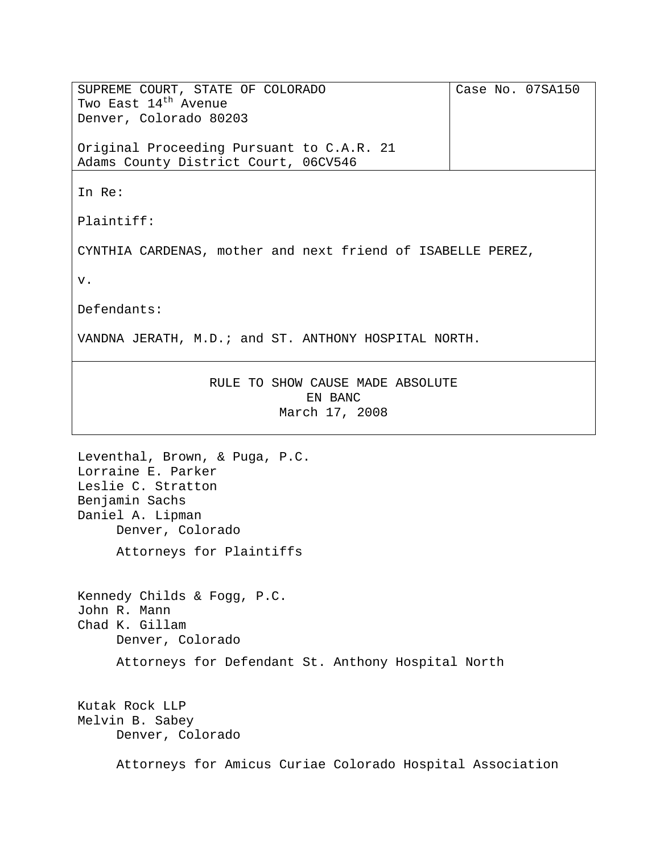SUPREME COURT, STATE OF COLORADO Two East  $14^{\text{th}}$  Avenue Denver, Colorado 80203 Original Proceeding Pursuant to C.A.R. 21 Adams County District Court, 06CV546 Case No. 07SA150 In Re: Plaintiff: CYNTHIA CARDENAS, mother and next friend of ISABELLE PEREZ, v. Defendants: VANDNA JERATH, M.D.; and ST. ANTHONY HOSPITAL NORTH. RULE TO SHOW CAUSE MADE ABSOLUTE EN BANC March 17, 2008 Leventhal, Brown, & Puga, P.C. Lorraine E. Parker Leslie C. Stratton Benjamin Sachs Daniel A. Lipman Denver, Colorado Attorneys for Plaintiffs Kennedy Childs & Fogg, P.C. John R. Mann Chad K. Gillam Denver, Colorado Attorneys for Defendant St. Anthony Hospital North

Kutak Rock LLP Melvin B. Sabey Denver, Colorado

Attorneys for Amicus Curiae Colorado Hospital Association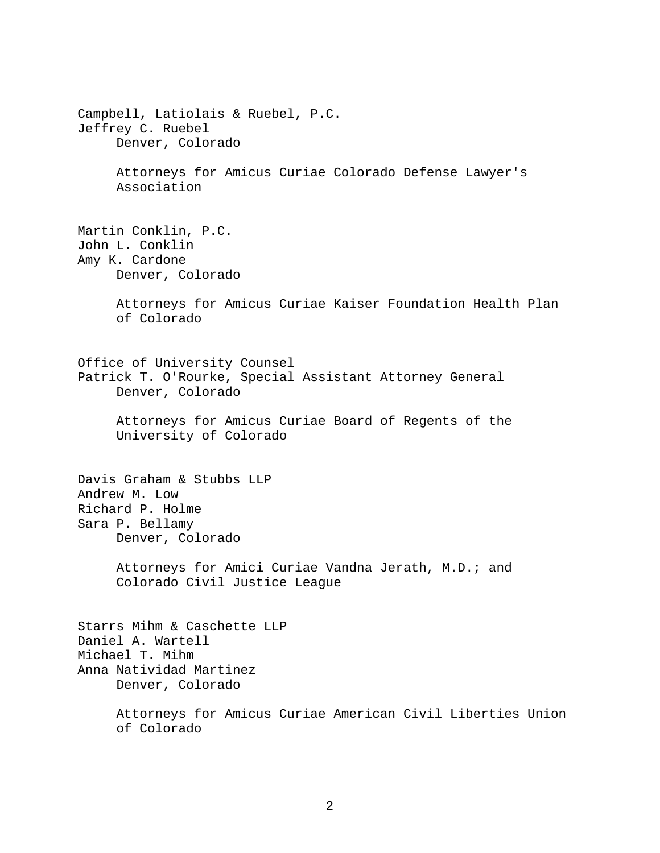Campbell, Latiolais & Ruebel, P.C. Jeffrey C. Ruebel Denver, Colorado Attorneys for Amicus Curiae Colorado Defense Lawyer's Association Martin Conklin, P.C. John L. Conklin Amy K. Cardone Denver, Colorado Attorneys for Amicus Curiae Kaiser Foundation Health Plan of Colorado Office of University Counsel Patrick T. O'Rourke, Special Assistant Attorney General Denver, Colorado Attorneys for Amicus Curiae Board of Regents of the University of Colorado Davis Graham & Stubbs LLP Andrew M. Low Richard P. Holme Sara P. Bellamy Denver, Colorado Attorneys for Amici Curiae Vandna Jerath, M.D.; and Colorado Civil Justice League Starrs Mihm & Caschette LLP Daniel A. Wartell Michael T. Mihm Anna Natividad Martinez Denver, Colorado Attorneys for Amicus Curiae American Civil Liberties Union of Colorado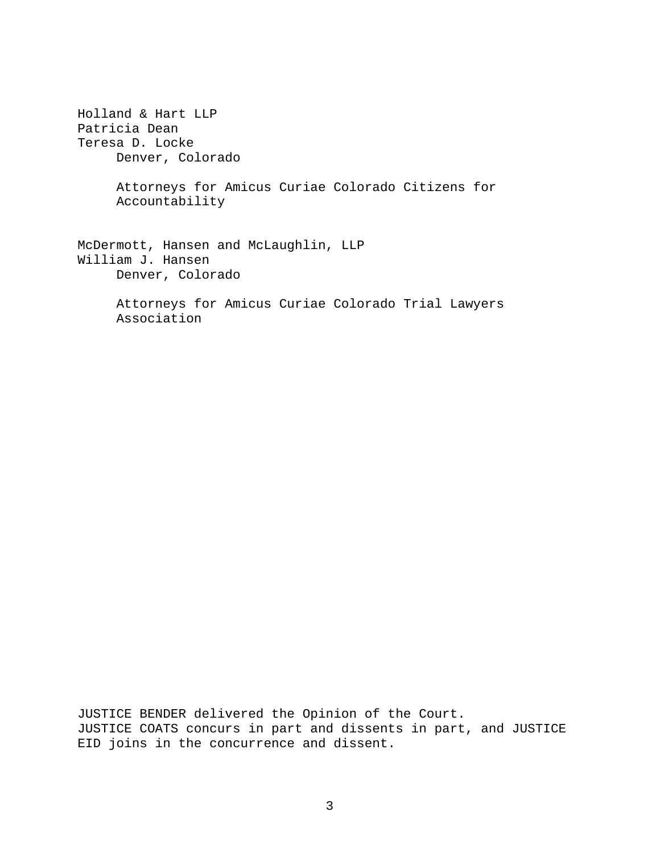Holland & Hart LLP Patricia Dean Teresa D. Locke Denver, Colorado Attorneys for Amicus Curiae Colorado Citizens for Accountability McDermott, Hansen and McLaughlin, LLP William J. Hansen Denver, Colorado Attorneys for Amicus Curiae Colorado Trial Lawyers Association

JUSTICE BENDER delivered the Opinion of the Court. JUSTICE COATS concurs in part and dissents in part, and JUSTICE EID joins in the concurrence and dissent.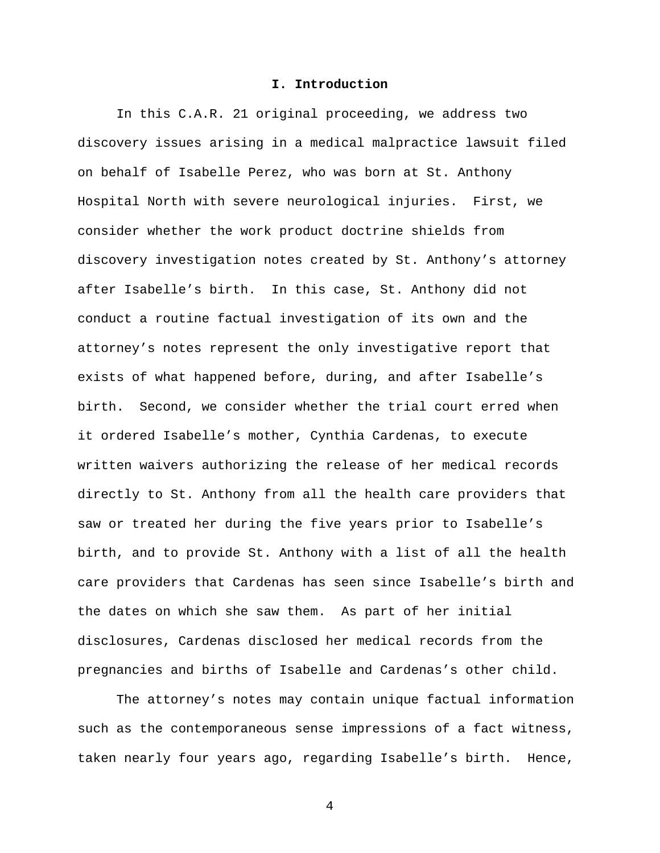### **I. Introduction**

In this C.A.R. 21 original proceeding, we address two discovery issues arising in a medical malpractice lawsuit filed on behalf of Isabelle Perez, who was born at St. Anthony Hospital North with severe neurological injuries. First, we consider whether the work product doctrine shields from discovery investigation notes created by St. Anthony's attorney after Isabelle's birth. In this case, St. Anthony did not conduct a routine factual investigation of its own and the attorney's notes represent the only investigative report that exists of what happened before, during, and after Isabelle's birth. Second, we consider whether the trial court erred when it ordered Isabelle's mother, Cynthia Cardenas, to execute written waivers authorizing the release of her medical records directly to St. Anthony from all the health care providers that saw or treated her during the five years prior to Isabelle's birth, and to provide St. Anthony with a list of all the health care providers that Cardenas has seen since Isabelle's birth and the dates on which she saw them. As part of her initial disclosures, Cardenas disclosed her medical records from the pregnancies and births of Isabelle and Cardenas's other child.

The attorney's notes may contain unique factual information such as the contemporaneous sense impressions of a fact witness, taken nearly four years ago, regarding Isabelle's birth. Hence,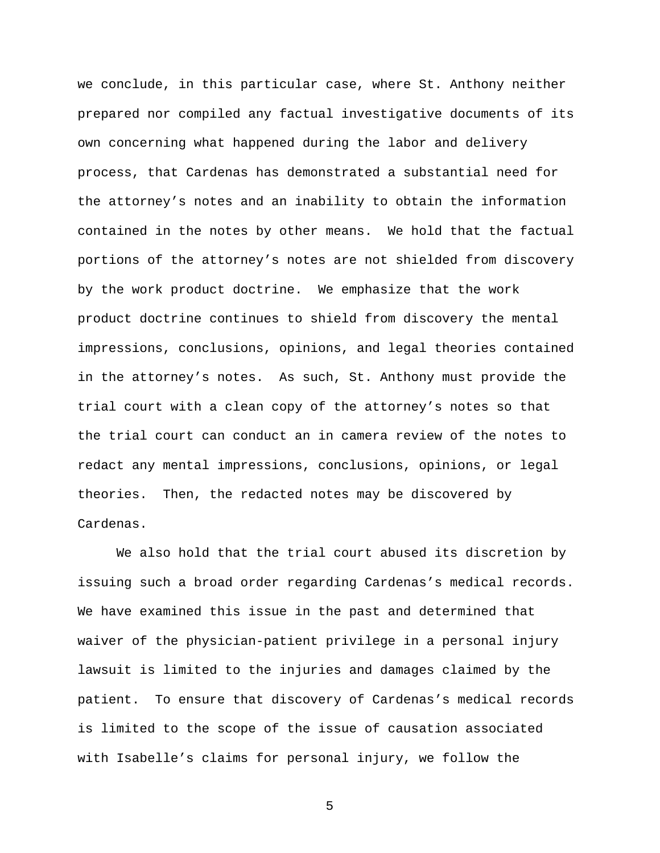we conclude, in this particular case, where St. Anthony neither prepared nor compiled any factual investigative documents of its own concerning what happened during the labor and delivery process, that Cardenas has demonstrated a substantial need for the attorney's notes and an inability to obtain the information contained in the notes by other means. We hold that the factual portions of the attorney's notes are not shielded from discovery by the work product doctrine. We emphasize that the work product doctrine continues to shield from discovery the mental impressions, conclusions, opinions, and legal theories contained in the attorney's notes. As such, St. Anthony must provide the trial court with a clean copy of the attorney's notes so that the trial court can conduct an in camera review of the notes to redact any mental impressions, conclusions, opinions, or legal theories. Then, the redacted notes may be discovered by Cardenas.

We also hold that the trial court abused its discretion by issuing such a broad order regarding Cardenas's medical records. We have examined this issue in the past and determined that waiver of the physician-patient privilege in a personal injury lawsuit is limited to the injuries and damages claimed by the patient. To ensure that discovery of Cardenas's medical records is limited to the scope of the issue of causation associated with Isabelle's claims for personal injury, we follow the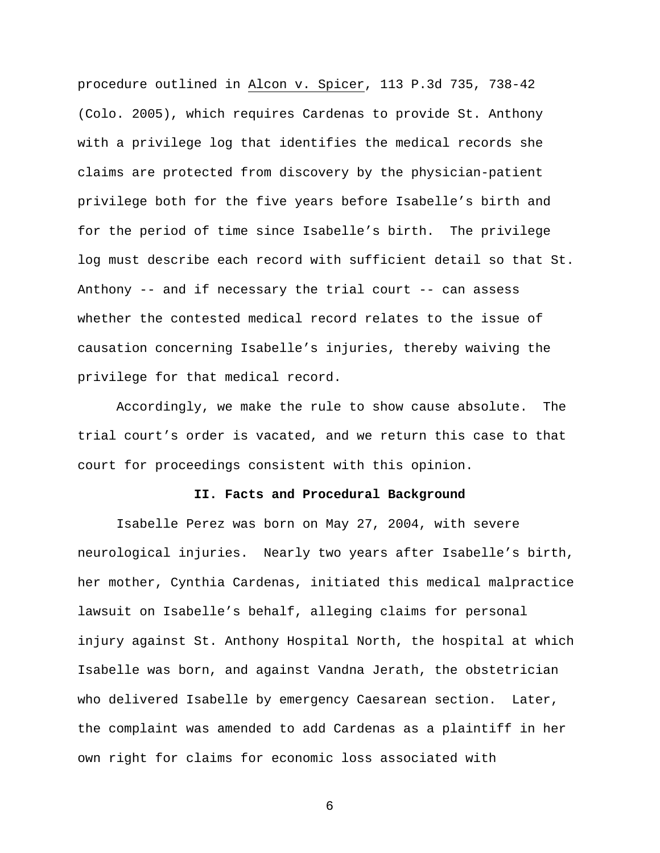procedure outlined in Alcon v. Spicer, 113 P.3d 735, 738-42 (Colo. 2005), which requires Cardenas to provide St. Anthony with a privilege log that identifies the medical records she claims are protected from discovery by the physician-patient privilege both for the five years before Isabelle's birth and for the period of time since Isabelle's birth. The privilege log must describe each record with sufficient detail so that St. Anthony -- and if necessary the trial court -- can assess whether the contested medical record relates to the issue of causation concerning Isabelle's injuries, thereby waiving the privilege for that medical record.

Accordingly, we make the rule to show cause absolute. The trial court's order is vacated, and we return this case to that court for proceedings consistent with this opinion.

#### **II. Facts and Procedural Background**

Isabelle Perez was born on May 27, 2004, with severe neurological injuries. Nearly two years after Isabelle's birth, her mother, Cynthia Cardenas, initiated this medical malpractice lawsuit on Isabelle's behalf, alleging claims for personal injury against St. Anthony Hospital North, the hospital at which Isabelle was born, and against Vandna Jerath, the obstetrician who delivered Isabelle by emergency Caesarean section. Later, the complaint was amended to add Cardenas as a plaintiff in her own right for claims for economic loss associated with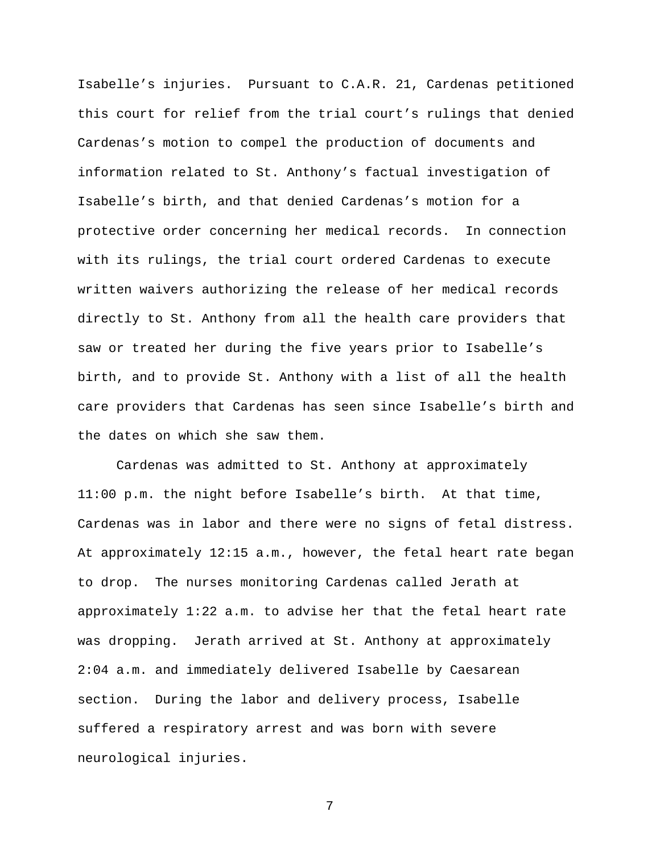Isabelle's injuries. Pursuant to C.A.R. 21, Cardenas petitioned this court for relief from the trial court's rulings that denied Cardenas's motion to compel the production of documents and information related to St. Anthony's factual investigation of Isabelle's birth, and that denied Cardenas's motion for a protective order concerning her medical records. In connection with its rulings, the trial court ordered Cardenas to execute written waivers authorizing the release of her medical records directly to St. Anthony from all the health care providers that saw or treated her during the five years prior to Isabelle's birth, and to provide St. Anthony with a list of all the health care providers that Cardenas has seen since Isabelle's birth and the dates on which she saw them.

Cardenas was admitted to St. Anthony at approximately 11:00 p.m. the night before Isabelle's birth. At that time, Cardenas was in labor and there were no signs of fetal distress. At approximately 12:15 a.m., however, the fetal heart rate began to drop. The nurses monitoring Cardenas called Jerath at approximately 1:22 a.m. to advise her that the fetal heart rate was dropping. Jerath arrived at St. Anthony at approximately 2:04 a.m. and immediately delivered Isabelle by Caesarean section. During the labor and delivery process, Isabelle suffered a respiratory arrest and was born with severe neurological injuries.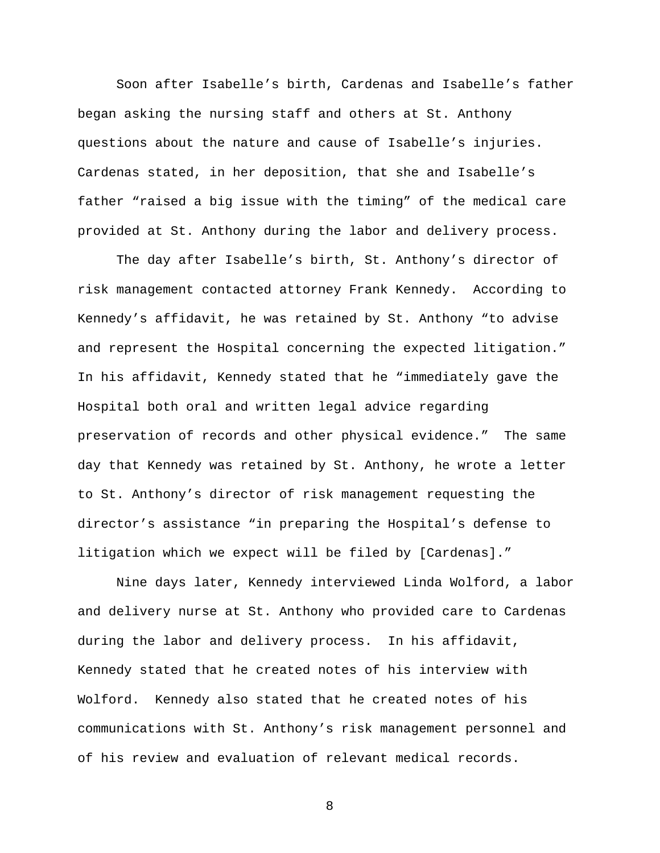Soon after Isabelle's birth, Cardenas and Isabelle's father began asking the nursing staff and others at St. Anthony questions about the nature and cause of Isabelle's injuries. Cardenas stated, in her deposition, that she and Isabelle's father "raised a big issue with the timing" of the medical care provided at St. Anthony during the labor and delivery process.

The day after Isabelle's birth, St. Anthony's director of risk management contacted attorney Frank Kennedy. According to Kennedy's affidavit, he was retained by St. Anthony "to advise and represent the Hospital concerning the expected litigation." In his affidavit, Kennedy stated that he "immediately gave the Hospital both oral and written legal advice regarding preservation of records and other physical evidence." The same day that Kennedy was retained by St. Anthony, he wrote a letter to St. Anthony's director of risk management requesting the director's assistance "in preparing the Hospital's defense to litigation which we expect will be filed by [Cardenas]."

Nine days later, Kennedy interviewed Linda Wolford, a labor and delivery nurse at St. Anthony who provided care to Cardenas during the labor and delivery process. In his affidavit, Kennedy stated that he created notes of his interview with Wolford. Kennedy also stated that he created notes of his communications with St. Anthony's risk management personnel and of his review and evaluation of relevant medical records.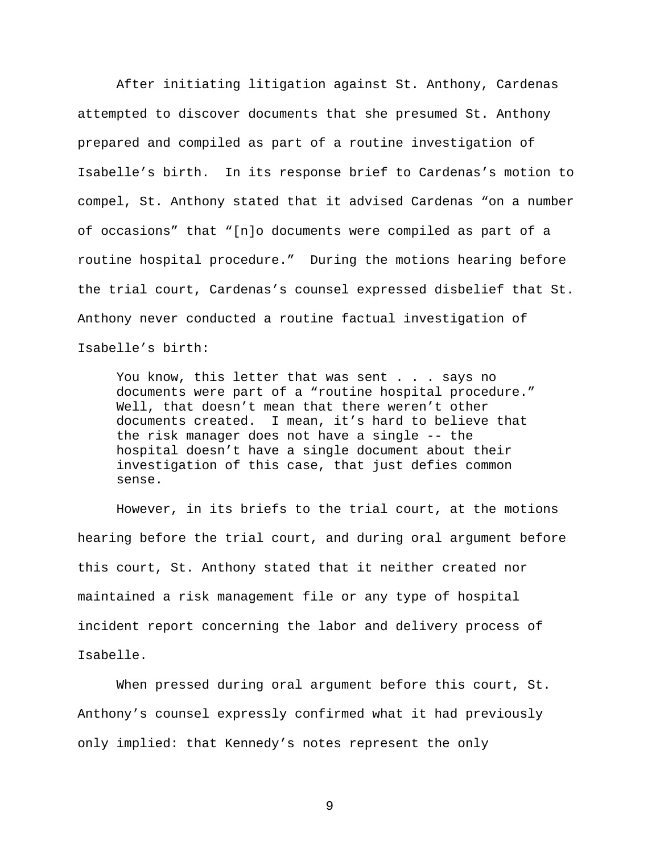After initiating litigation against St. Anthony, Cardenas attempted to discover documents that she presumed St. Anthony prepared and compiled as part of a routine investigation of Isabelle's birth. In its response brief to Cardenas's motion to compel, St. Anthony stated that it advised Cardenas "on a number of occasions" that "[n]o documents were compiled as part of a routine hospital procedure." During the motions hearing before the trial court, Cardenas's counsel expressed disbelief that St. Anthony never conducted a routine factual investigation of Isabelle's birth:

You know, this letter that was sent . . . says no documents were part of a "routine hospital procedure." Well, that doesn't mean that there weren't other documents created. I mean, it's hard to believe that the risk manager does not have a single -- the hospital doesn't have a single document about their investigation of this case, that just defies common sense.

However, in its briefs to the trial court, at the motions hearing before the trial court, and during oral argument before this court, St. Anthony stated that it neither created nor maintained a risk management file or any type of hospital incident report concerning the labor and delivery process of Isabelle.

When pressed during oral argument before this court, St. Anthony's counsel expressly confirmed what it had previously only implied: that Kennedy's notes represent the only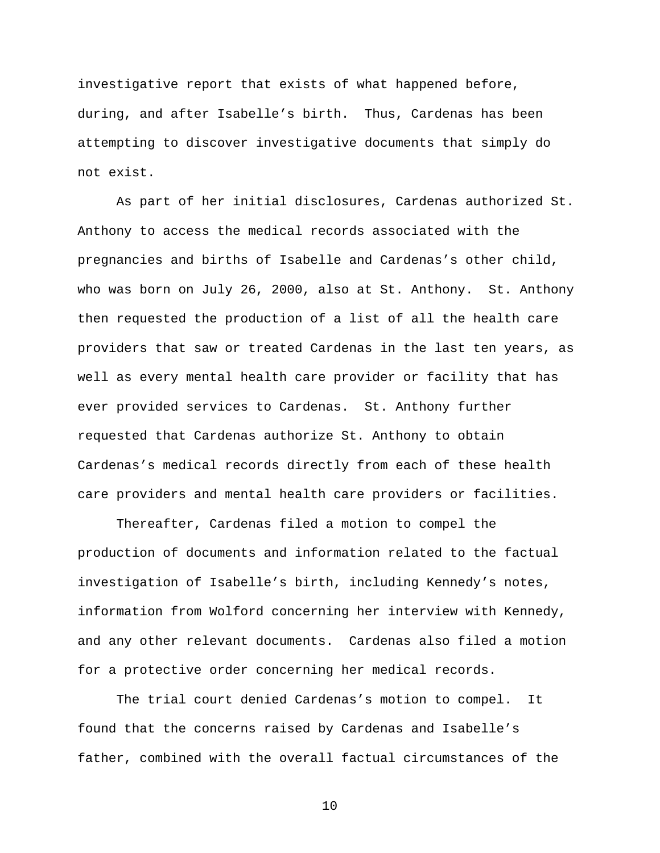investigative report that exists of what happened before, during, and after Isabelle's birth. Thus, Cardenas has been attempting to discover investigative documents that simply do not exist.

As part of her initial disclosures, Cardenas authorized St. Anthony to access the medical records associated with the pregnancies and births of Isabelle and Cardenas's other child, who was born on July 26, 2000, also at St. Anthony. St. Anthony then requested the production of a list of all the health care providers that saw or treated Cardenas in the last ten years, as well as every mental health care provider or facility that has ever provided services to Cardenas. St. Anthony further requested that Cardenas authorize St. Anthony to obtain Cardenas's medical records directly from each of these health care providers and mental health care providers or facilities.

Thereafter, Cardenas filed a motion to compel the production of documents and information related to the factual investigation of Isabelle's birth, including Kennedy's notes, information from Wolford concerning her interview with Kennedy, and any other relevant documents. Cardenas also filed a motion for a protective order concerning her medical records.

The trial court denied Cardenas's motion to compel. It found that the concerns raised by Cardenas and Isabelle's father, combined with the overall factual circumstances of the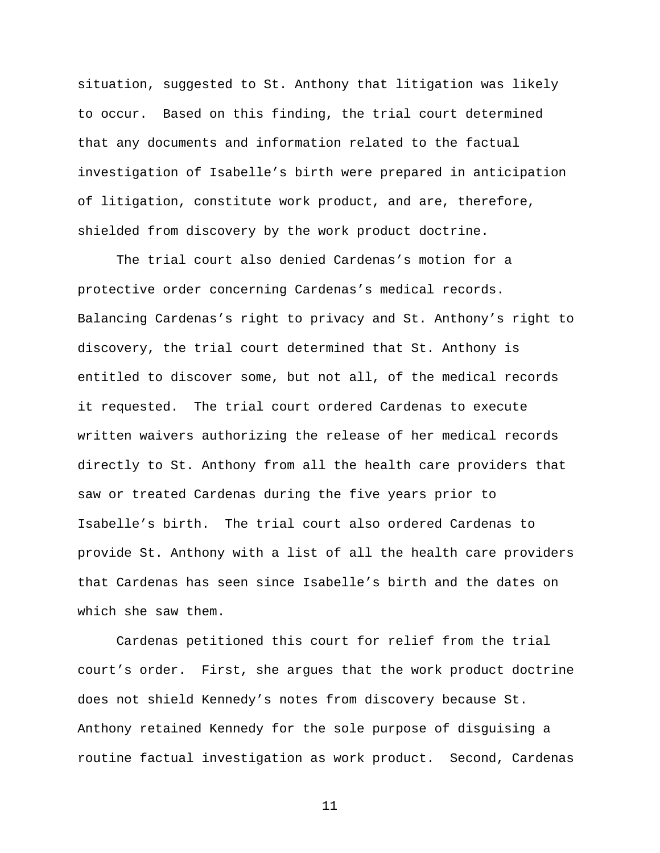situation, suggested to St. Anthony that litigation was likely to occur. Based on this finding, the trial court determined that any documents and information related to the factual investigation of Isabelle's birth were prepared in anticipation of litigation, constitute work product, and are, therefore, shielded from discovery by the work product doctrine.

The trial court also denied Cardenas's motion for a protective order concerning Cardenas's medical records. Balancing Cardenas's right to privacy and St. Anthony's right to discovery, the trial court determined that St. Anthony is entitled to discover some, but not all, of the medical records it requested. The trial court ordered Cardenas to execute written waivers authorizing the release of her medical records directly to St. Anthony from all the health care providers that saw or treated Cardenas during the five years prior to Isabelle's birth. The trial court also ordered Cardenas to provide St. Anthony with a list of all the health care providers that Cardenas has seen since Isabelle's birth and the dates on which she saw them.

Cardenas petitioned this court for relief from the trial court's order. First, she argues that the work product doctrine does not shield Kennedy's notes from discovery because St. Anthony retained Kennedy for the sole purpose of disguising a routine factual investigation as work product. Second, Cardenas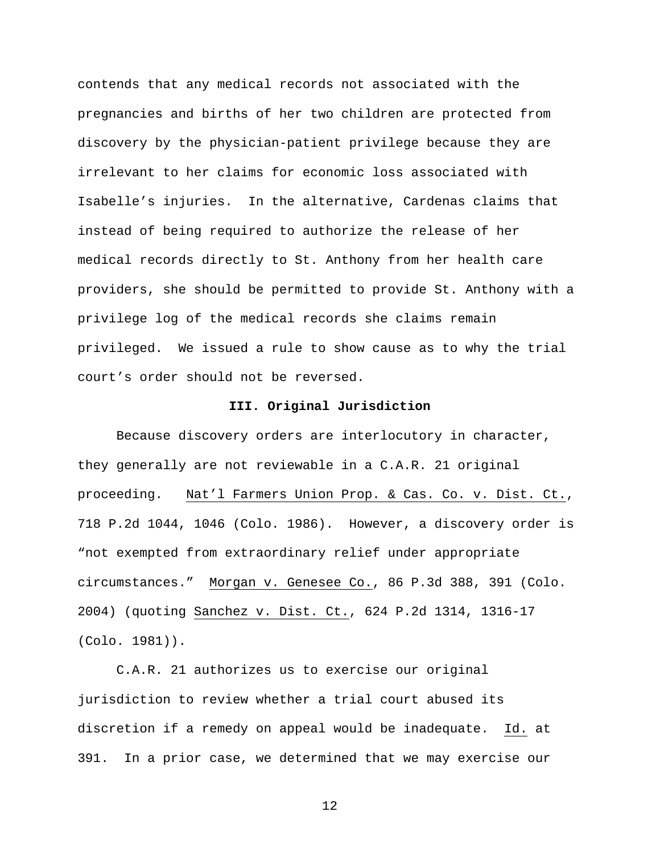contends that any medical records not associated with the pregnancies and births of her two children are protected from discovery by the physician-patient privilege because they are irrelevant to her claims for economic loss associated with Isabelle's injuries. In the alternative, Cardenas claims that instead of being required to authorize the release of her medical records directly to St. Anthony from her health care providers, she should be permitted to provide St. Anthony with a privilege log of the medical records she claims remain privileged. We issued a rule to show cause as to why the trial court's order should not be reversed.

### **III. Original Jurisdiction**

Because discovery orders are interlocutory in character, they generally are not reviewable in a C.A.R. 21 original proceeding. Nat'l Farmers Union Prop. & Cas. Co. v. Dist. Ct., 718 P.2d 1044, 1046 (Colo. 1986). However, a discovery order is "not exempted from extraordinary relief under appropriate circumstances." Morgan v. Genesee Co., 86 P.3d 388, 391 (Colo. 2004) (quoting Sanchez v. Dist. Ct., 624 P.2d 1314, 1316-17 (Colo. 1981)).

C.A.R. 21 authorizes us to exercise our original jurisdiction to review whether a trial court abused its discretion if a remedy on appeal would be inadequate. Id. at 391. In a prior case, we determined that we may exercise our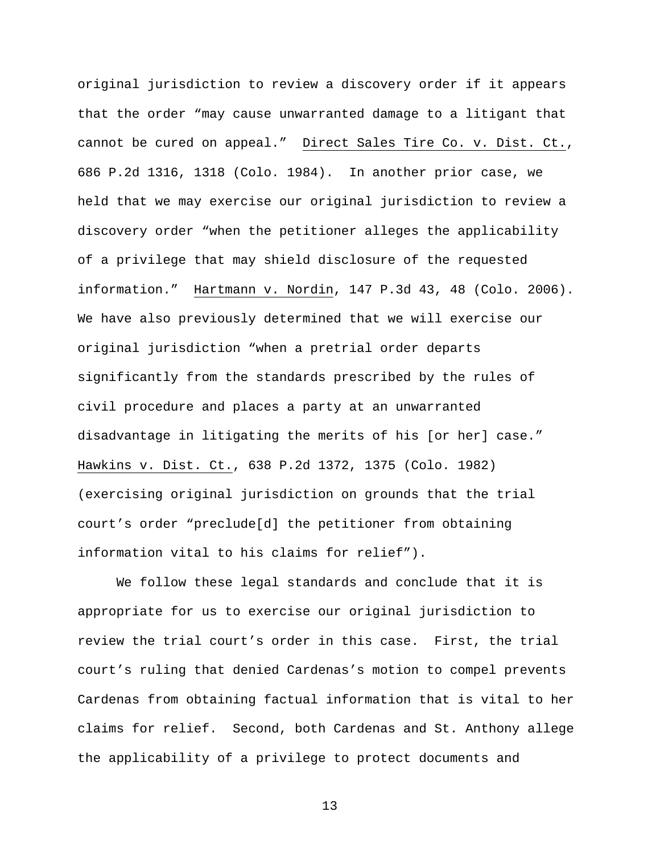original jurisdiction to review a discovery order if it appears that the order "may cause unwarranted damage to a litigant that cannot be cured on appeal." Direct Sales Tire Co. v. Dist. Ct., 686 P.2d 1316, 1318 (Colo. 1984). In another prior case, we held that we may exercise our original jurisdiction to review a discovery order "when the petitioner alleges the applicability of a privilege that may shield disclosure of the requested information." Hartmann v. Nordin, 147 P.3d 43, 48 (Colo. 2006). We have also previously determined that we will exercise our original jurisdiction "when a pretrial order departs significantly from the standards prescribed by the rules of civil procedure and places a party at an unwarranted disadvantage in litigating the merits of his [or her] case." Hawkins v. Dist. Ct., 638 P.2d 1372, 1375 (Colo. 1982) (exercising original jurisdiction on grounds that the trial court's order "preclude[d] the petitioner from obtaining information vital to his claims for relief").

We follow these legal standards and conclude that it is appropriate for us to exercise our original jurisdiction to review the trial court's order in this case. First, the trial court's ruling that denied Cardenas's motion to compel prevents Cardenas from obtaining factual information that is vital to her claims for relief. Second, both Cardenas and St. Anthony allege the applicability of a privilege to protect documents and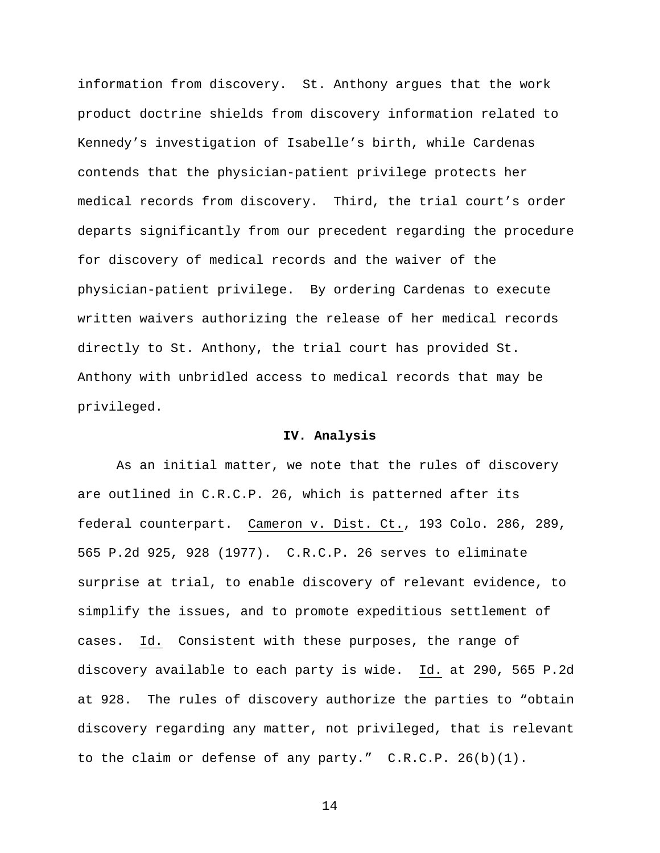information from discovery. St. Anthony argues that the work product doctrine shields from discovery information related to Kennedy's investigation of Isabelle's birth, while Cardenas contends that the physician-patient privilege protects her medical records from discovery. Third, the trial court's order departs significantly from our precedent regarding the procedure for discovery of medical records and the waiver of the physician-patient privilege. By ordering Cardenas to execute written waivers authorizing the release of her medical records directly to St. Anthony, the trial court has provided St. Anthony with unbridled access to medical records that may be privileged.

#### **IV. Analysis**

As an initial matter, we note that the rules of discovery are outlined in C.R.C.P. 26, which is patterned after its federal counterpart. Cameron v. Dist. Ct., 193 Colo. 286, 289, 565 P.2d 925, 928 (1977). C.R.C.P. 26 serves to eliminate surprise at trial, to enable discovery of relevant evidence, to simplify the issues, and to promote expeditious settlement of cases. Id. Consistent with these purposes, the range of discovery available to each party is wide. Id. at 290, 565 P.2d at 928. The rules of discovery authorize the parties to "obtain discovery regarding any matter, not privileged, that is relevant to the claim or defense of any party." C.R.C.P. 26(b)(1).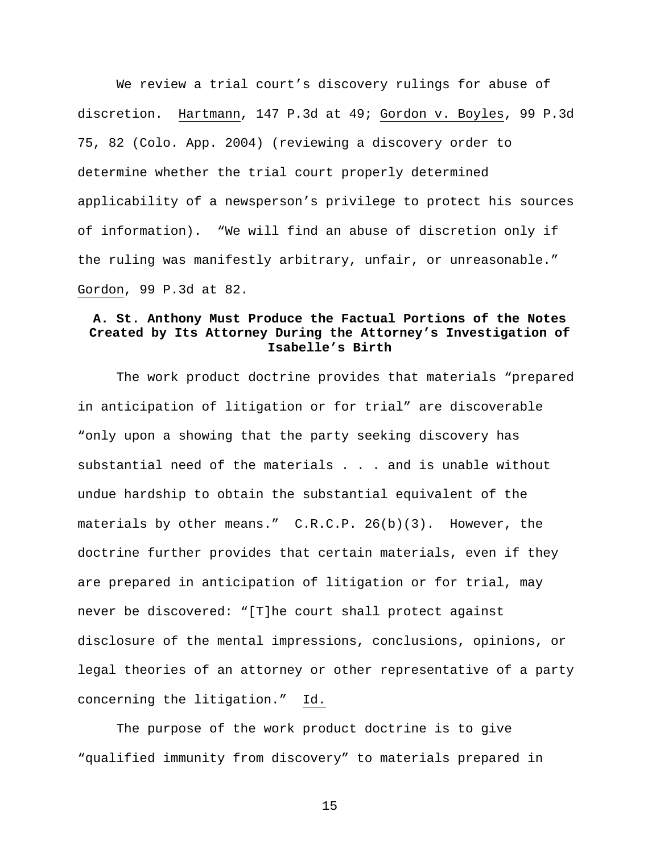We review a trial court's discovery rulings for abuse of discretion. Hartmann, 147 P.3d at 49; Gordon v. Boyles, 99 P.3d 75, 82 (Colo. App. 2004) (reviewing a discovery order to determine whether the trial court properly determined applicability of a newsperson's privilege to protect his sources of information). "We will find an abuse of discretion only if the ruling was manifestly arbitrary, unfair, or unreasonable." Gordon, 99 P.3d at 82.

# **A. St. Anthony Must Produce the Factual Portions of the Notes Created by Its Attorney During the Attorney's Investigation of Isabelle's Birth**

The work product doctrine provides that materials "prepared in anticipation of litigation or for trial" are discoverable "only upon a showing that the party seeking discovery has substantial need of the materials . . . and is unable without undue hardship to obtain the substantial equivalent of the materials by other means."  $C.R.C.P. 26(b)(3)$ . However, the doctrine further provides that certain materials, even if they are prepared in anticipation of litigation or for trial, may never be discovered: "[T]he court shall protect against disclosure of the mental impressions, conclusions, opinions, or legal theories of an attorney or other representative of a party concerning the litigation." Id.

The purpose of the work product doctrine is to give "qualified immunity from discovery" to materials prepared in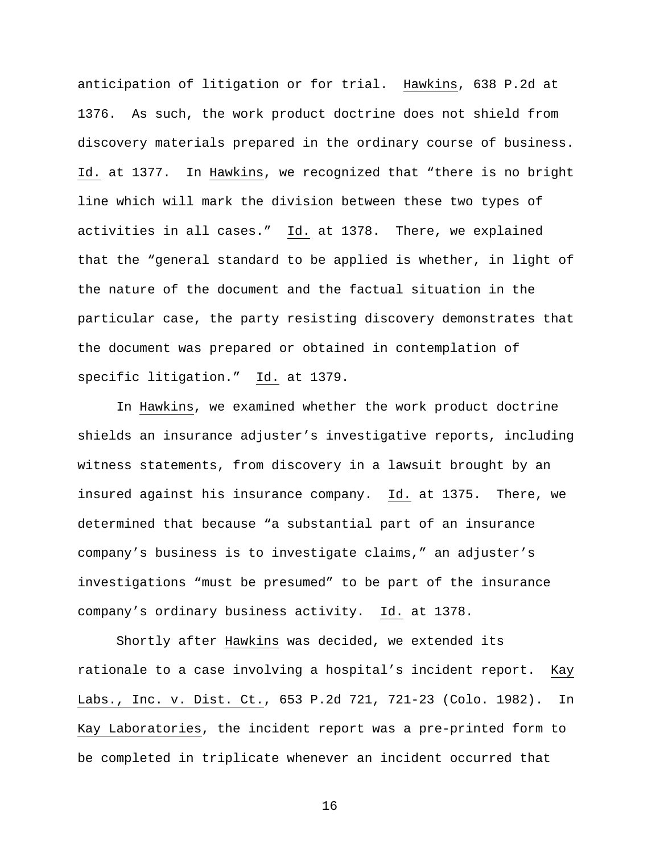anticipation of litigation or for trial. Hawkins, 638 P.2d at 1376. As such, the work product doctrine does not shield from discovery materials prepared in the ordinary course of business. Id. at 1377. In Hawkins, we recognized that "there is no bright line which will mark the division between these two types of activities in all cases." Id. at 1378. There, we explained that the "general standard to be applied is whether, in light of the nature of the document and the factual situation in the particular case, the party resisting discovery demonstrates that the document was prepared or obtained in contemplation of specific litigation." Id. at 1379.

In Hawkins, we examined whether the work product doctrine shields an insurance adjuster's investigative reports, including witness statements, from discovery in a lawsuit brought by an insured against his insurance company. Id. at 1375. There, we determined that because "a substantial part of an insurance company's business is to investigate claims," an adjuster's investigations "must be presumed" to be part of the insurance company's ordinary business activity. Id. at 1378.

Shortly after Hawkins was decided, we extended its rationale to a case involving a hospital's incident report. Kay Labs., Inc. v. Dist. Ct., 653 P.2d 721, 721-23 (Colo. 1982). In Kay Laboratories, the incident report was a pre-printed form to be completed in triplicate whenever an incident occurred that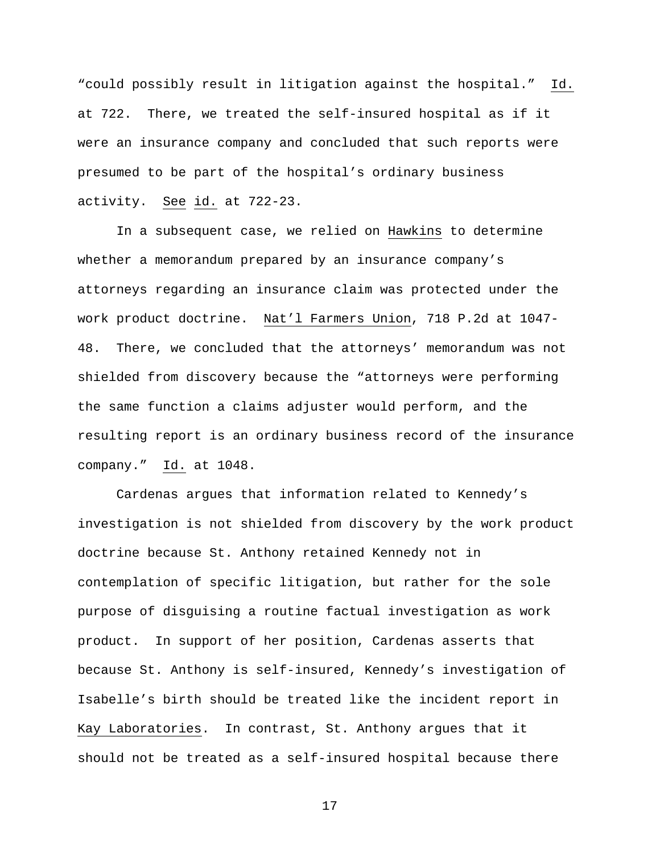"could possibly result in litigation against the hospital." Id. at 722. There, we treated the self-insured hospital as if it were an insurance company and concluded that such reports were presumed to be part of the hospital's ordinary business activity. See id. at 722-23.

In a subsequent case, we relied on Hawkins to determine whether a memorandum prepared by an insurance company's attorneys regarding an insurance claim was protected under the work product doctrine. Nat'l Farmers Union, 718 P.2d at 1047- 48. There, we concluded that the attorneys' memorandum was not shielded from discovery because the "attorneys were performing the same function a claims adjuster would perform, and the resulting report is an ordinary business record of the insurance company." Id. at 1048.

Cardenas argues that information related to Kennedy's investigation is not shielded from discovery by the work product doctrine because St. Anthony retained Kennedy not in contemplation of specific litigation, but rather for the sole purpose of disguising a routine factual investigation as work product. In support of her position, Cardenas asserts that because St. Anthony is self-insured, Kennedy's investigation of Isabelle's birth should be treated like the incident report in Kay Laboratories. In contrast, St. Anthony argues that it should not be treated as a self-insured hospital because there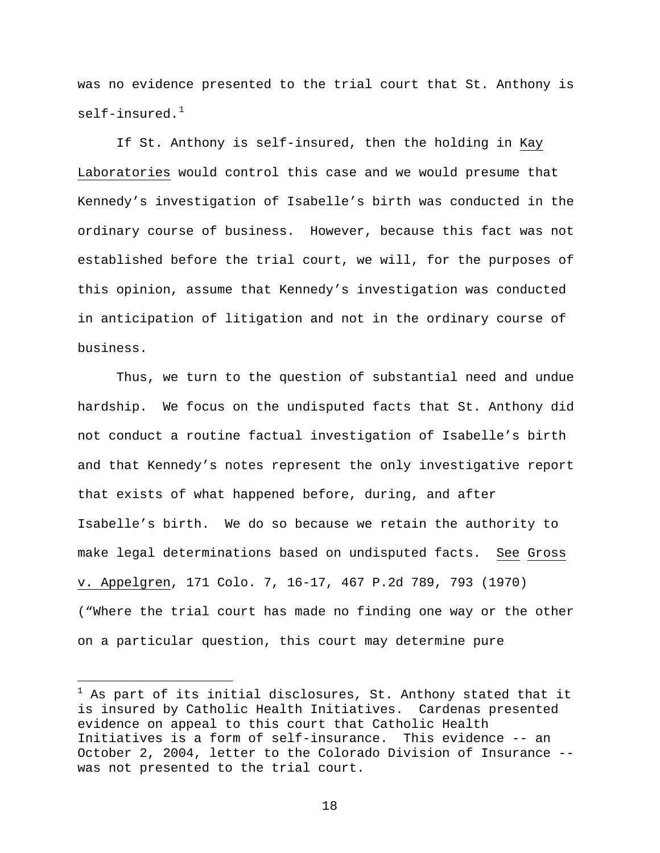was no evidence presented to the trial court that St. Anthony is self-insured. $1$ 

If St. Anthony is self-insured, then the holding in Kay Laboratories would control this case and we would presume that Kennedy's investigation of Isabelle's birth was conducted in the ordinary course of business. However, because this fact was not established before the trial court, we will, for the purposes of this opinion, assume that Kennedy's investigation was conducted in anticipation of litigation and not in the ordinary course of business.

Thus, we turn to the question of substantial need and undue hardship. We focus on the undisputed facts that St. Anthony did not conduct a routine factual investigation of Isabelle's birth and that Kennedy's notes represent the only investigative report that exists of what happened before, during, and after Isabelle's birth. We do so because we retain the authority to make legal determinations based on undisputed facts. See Gross v. Appelgren, 171 Colo. 7, 16-17, 467 P.2d 789, 793 (1970) ("Where the trial court has made no finding one way or the other on a particular question, this court may determine pure

i<br>Li

<span id="page-17-0"></span> $^1$  As part of its initial disclosures, St. Anthony stated that it is insured by Catholic Health Initiatives. Cardenas presented evidence on appeal to this court that Catholic Health Initiatives is a form of self-insurance. This evidence -- an October 2, 2004, letter to the Colorado Division of Insurance - was not presented to the trial court.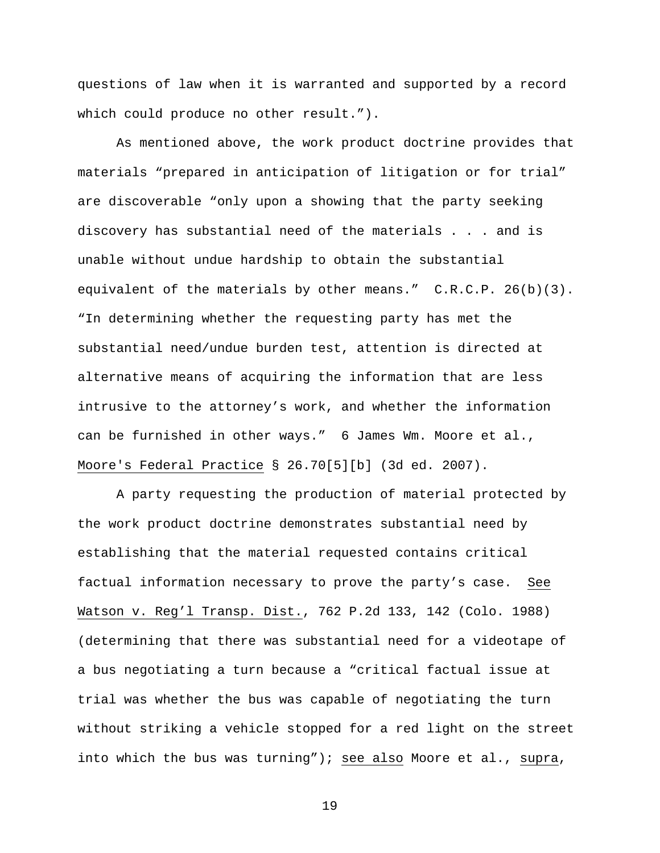questions of law when it is warranted and supported by a record which could produce no other result.").

As mentioned above, the work product doctrine provides that materials "prepared in anticipation of litigation or for trial" are discoverable "only upon a showing that the party seeking discovery has substantial need of the materials . . . and is unable without undue hardship to obtain the substantial equivalent of the materials by other means." C.R.C.P. 26(b)(3). "In determining whether the requesting party has met the substantial need/undue burden test, attention is directed at alternative means of acquiring the information that are less intrusive to the attorney's work, and whether the information can be furnished in other ways." 6 James Wm. Moore et al., Moore's Federal Practice § 26.70[5][b] (3d ed. 2007).

A party requesting the production of material protected by the work product doctrine demonstrates substantial need by establishing that the material requested contains critical factual information necessary to prove the party's case. See Watson v. Reg'l Transp. Dist., 762 P.2d 133, 142 (Colo. 1988) (determining that there was substantial need for a videotape of a bus negotiating a turn because a "critical factual issue at trial was whether the bus was capable of negotiating the turn without striking a vehicle stopped for a red light on the street into which the bus was turning"); see also Moore et al., supra,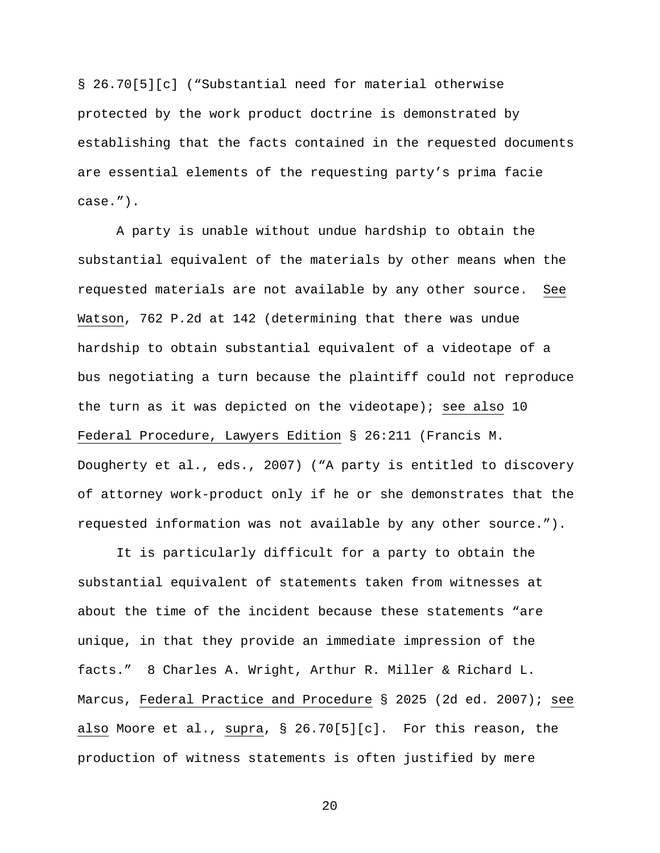§ 26.70[5][c] ("Substantial need for material otherwise protected by the work product doctrine is demonstrated by establishing that the facts contained in the requested documents are essential elements of the requesting party's prima facie case.").

A party is unable without undue hardship to obtain the substantial equivalent of the materials by other means when the requested materials are not available by any other source. See Watson, 762 P.2d at 142 (determining that there was undue hardship to obtain substantial equivalent of a videotape of a bus negotiating a turn because the plaintiff could not reproduce the turn as it was depicted on the videotape); see also 10 Federal Procedure, Lawyers Edition § 26:211 (Francis M. Dougherty et al., eds., 2007) ("A party is entitled to discovery of attorney work-product only if he or she demonstrates that the requested information was not available by any other source.").

It is particularly difficult for a party to obtain the substantial equivalent of statements taken from witnesses at about the time of the incident because these statements "are unique, in that they provide an immediate impression of the facts." 8 Charles A. Wright, Arthur R. Miller & Richard L. Marcus, Federal Practice and Procedure § 2025 (2d ed. 2007); see also Moore et al., supra, § 26.70[5][c]. For this reason, the production of witness statements is often justified by mere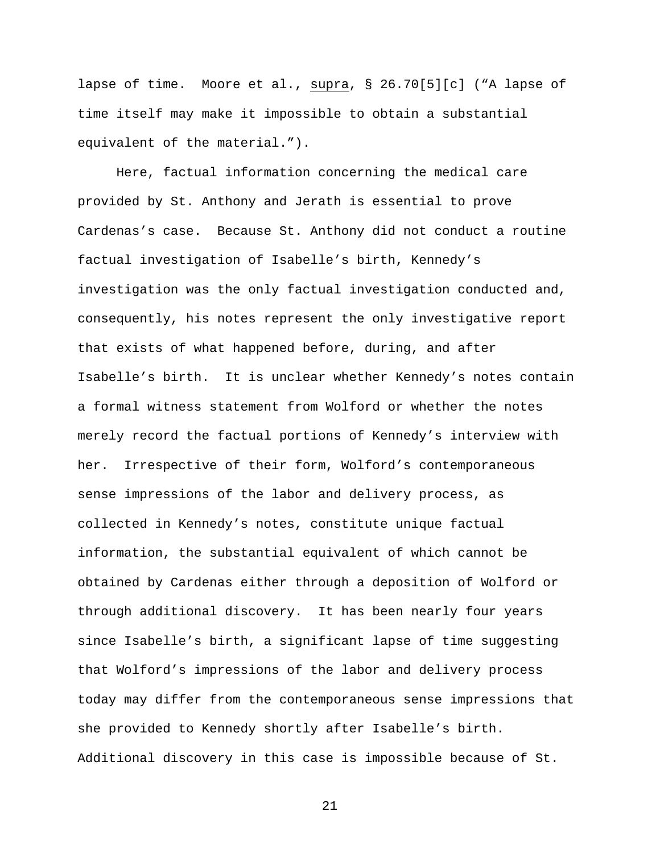lapse of time. Moore et al., supra, § 26.70[5][c] ("A lapse of time itself may make it impossible to obtain a substantial equivalent of the material.").

Here, factual information concerning the medical care provided by St. Anthony and Jerath is essential to prove Cardenas's case. Because St. Anthony did not conduct a routine factual investigation of Isabelle's birth, Kennedy's investigation was the only factual investigation conducted and, consequently, his notes represent the only investigative report that exists of what happened before, during, and after Isabelle's birth. It is unclear whether Kennedy's notes contain a formal witness statement from Wolford or whether the notes merely record the factual portions of Kennedy's interview with her. Irrespective of their form, Wolford's contemporaneous sense impressions of the labor and delivery process, as collected in Kennedy's notes, constitute unique factual information, the substantial equivalent of which cannot be obtained by Cardenas either through a deposition of Wolford or through additional discovery. It has been nearly four years since Isabelle's birth, a significant lapse of time suggesting that Wolford's impressions of the labor and delivery process today may differ from the contemporaneous sense impressions that she provided to Kennedy shortly after Isabelle's birth. Additional discovery in this case is impossible because of St.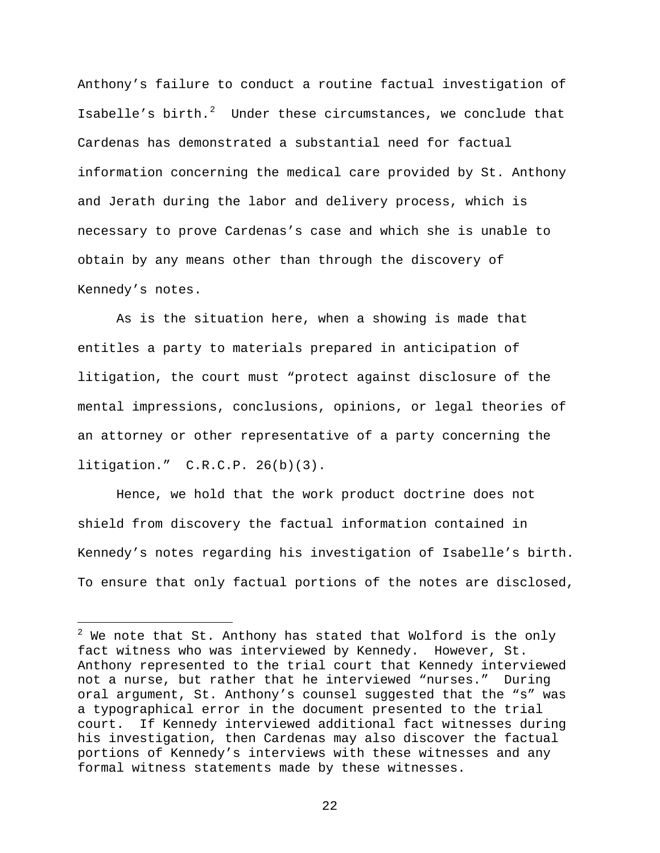Anthony's failure to conduct a routine factual investigation of Isabelle's birth.<sup>[2](#page-21-0)</sup> Under these circumstances, we conclude that Cardenas has demonstrated a substantial need for factual information concerning the medical care provided by St. Anthony and Jerath during the labor and delivery process, which is necessary to prove Cardenas's case and which she is unable to obtain by any means other than through the discovery of Kennedy's notes.

As is the situation here, when a showing is made that entitles a party to materials prepared in anticipation of litigation, the court must "protect against disclosure of the mental impressions, conclusions, opinions, or legal theories of an attorney or other representative of a party concerning the litigation." C.R.C.P. 26(b)(3).

Hence, we hold that the work product doctrine does not shield from discovery the factual information contained in Kennedy's notes regarding his investigation of Isabelle's birth. To ensure that only factual portions of the notes are disclosed,

i<br>Li

<span id="page-21-0"></span> $^2$  We note that St. Anthony has stated that Wolford is the only fact witness who was interviewed by Kennedy. However, St. Anthony represented to the trial court that Kennedy interviewed not a nurse, but rather that he interviewed "nurses." During oral argument, St. Anthony's counsel suggested that the "s" was a typographical error in the document presented to the trial court. If Kennedy interviewed additional fact witnesses during his investigation, then Cardenas may also discover the factual portions of Kennedy's interviews with these witnesses and any formal witness statements made by these witnesses.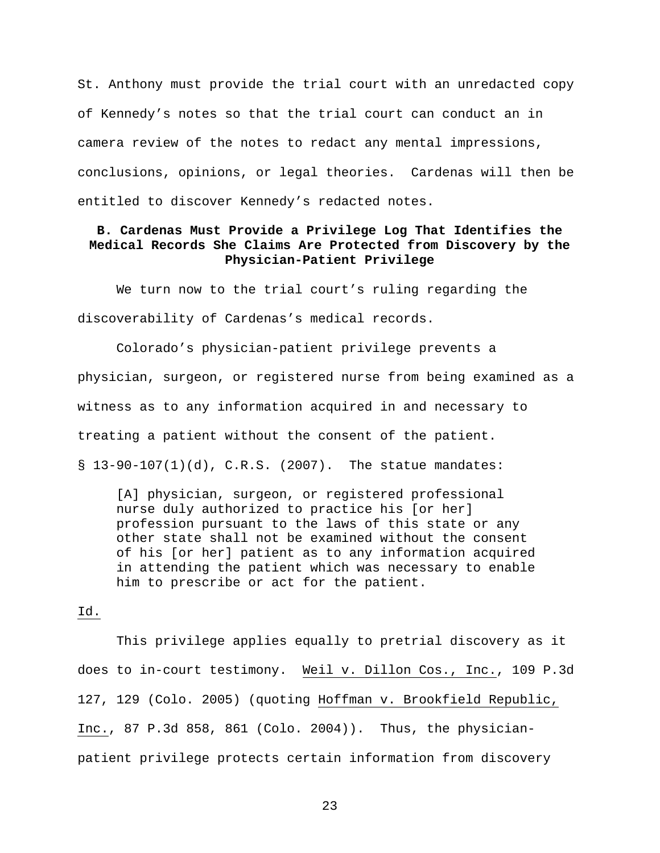St. Anthony must provide the trial court with an unredacted copy of Kennedy's notes so that the trial court can conduct an in camera review of the notes to redact any mental impressions, conclusions, opinions, or legal theories. Cardenas will then be entitled to discover Kennedy's redacted notes.

## **B. Cardenas Must Provide a Privilege Log That Identifies the Medical Records She Claims Are Protected from Discovery by the Physician-Patient Privilege**

We turn now to the trial court's ruling regarding the discoverability of Cardenas's medical records.

Colorado's physician-patient privilege prevents a physician, surgeon, or registered nurse from being examined as a witness as to any information acquired in and necessary to treating a patient without the consent of the patient.  $\S$  13-90-107(1)(d), C.R.S. (2007). The statue mandates:

[A] physician, surgeon, or registered professional nurse duly authorized to practice his [or her] profession pursuant to the laws of this state or any other state shall not be examined without the consent of his [or her] patient as to any information acquired in attending the patient which was necessary to enable him to prescribe or act for the patient.

#### Id.

This privilege applies equally to pretrial discovery as it does to in-court testimony. Weil v. Dillon Cos., Inc., 109 P.3d 127, 129 (Colo. 2005) (quoting Hoffman v. Brookfield Republic, Inc., 87 P.3d 858, 861 (Colo. 2004)). Thus, the physicianpatient privilege protects certain information from discovery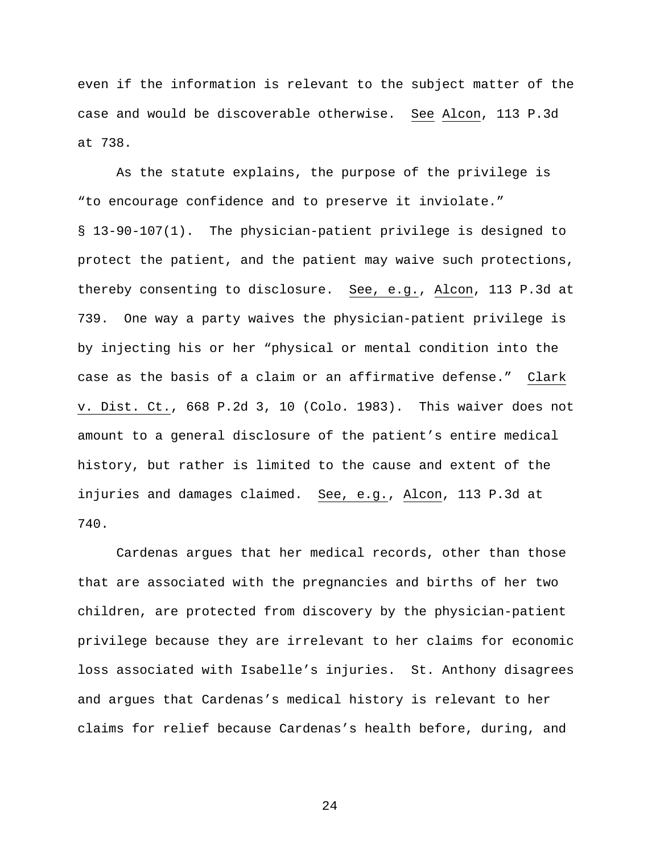even if the information is relevant to the subject matter of the case and would be discoverable otherwise. See Alcon, 113 P.3d at 738.

As the statute explains, the purpose of the privilege is "to encourage confidence and to preserve it inviolate." § 13-90-107(1). The physician-patient privilege is designed to protect the patient, and the patient may waive such protections, thereby consenting to disclosure. See, e.g., Alcon, 113 P.3d at 739. One way a party waives the physician-patient privilege is by injecting his or her "physical or mental condition into the case as the basis of a claim or an affirmative defense." Clark v. Dist. Ct., 668 P.2d 3, 10 (Colo. 1983). This waiver does not amount to a general disclosure of the patient's entire medical history, but rather is limited to the cause and extent of the injuries and damages claimed. See, e.g., Alcon, 113 P.3d at 740.

Cardenas argues that her medical records, other than those that are associated with the pregnancies and births of her two children, are protected from discovery by the physician-patient privilege because they are irrelevant to her claims for economic loss associated with Isabelle's injuries. St. Anthony disagrees and argues that Cardenas's medical history is relevant to her claims for relief because Cardenas's health before, during, and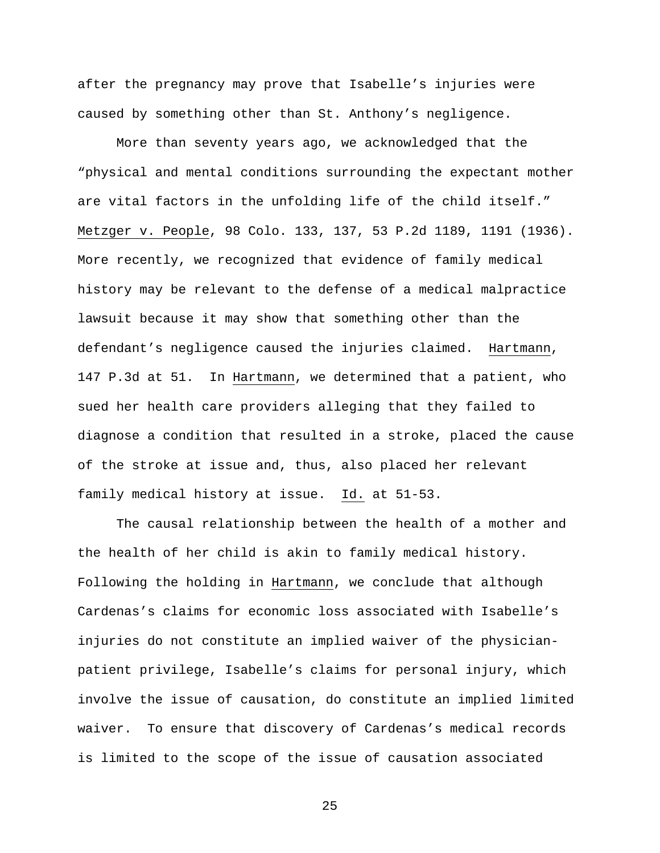after the pregnancy may prove that Isabelle's injuries were caused by something other than St. Anthony's negligence.

More than seventy years ago, we acknowledged that the "physical and mental conditions surrounding the expectant mother are vital factors in the unfolding life of the child itself." Metzger v. People, 98 Colo. 133, 137, 53 P.2d 1189, 1191 (1936). More recently, we recognized that evidence of family medical history may be relevant to the defense of a medical malpractice lawsuit because it may show that something other than the defendant's negligence caused the injuries claimed. Hartmann, 147 P.3d at 51. In Hartmann, we determined that a patient, who sued her health care providers alleging that they failed to diagnose a condition that resulted in a stroke, placed the cause of the stroke at issue and, thus, also placed her relevant family medical history at issue. Id. at 51-53.

The causal relationship between the health of a mother and the health of her child is akin to family medical history. Following the holding in Hartmann, we conclude that although Cardenas's claims for economic loss associated with Isabelle's injuries do not constitute an implied waiver of the physicianpatient privilege, Isabelle's claims for personal injury, which involve the issue of causation, do constitute an implied limited waiver. To ensure that discovery of Cardenas's medical records is limited to the scope of the issue of causation associated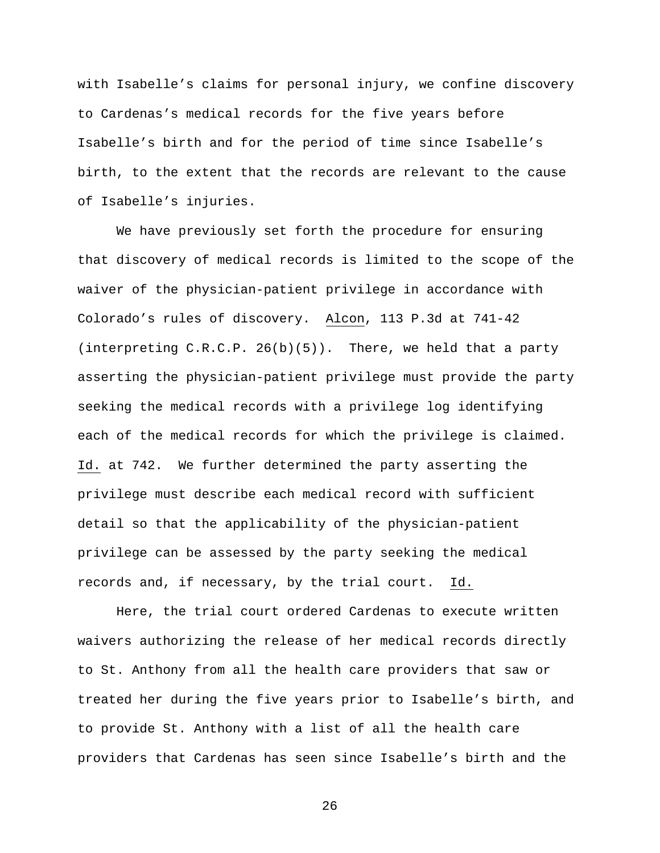with Isabelle's claims for personal injury, we confine discovery to Cardenas's medical records for the five years before Isabelle's birth and for the period of time since Isabelle's birth, to the extent that the records are relevant to the cause of Isabelle's injuries.

We have previously set forth the procedure for ensuring that discovery of medical records is limited to the scope of the waiver of the physician-patient privilege in accordance with Colorado's rules of discovery. Alcon, 113 P.3d at 741-42 (interpreting C.R.C.P. 26(b)(5)). There, we held that a party asserting the physician-patient privilege must provide the party seeking the medical records with a privilege log identifying each of the medical records for which the privilege is claimed. Id. at 742. We further determined the party asserting the privilege must describe each medical record with sufficient detail so that the applicability of the physician-patient privilege can be assessed by the party seeking the medical records and, if necessary, by the trial court. Id.

Here, the trial court ordered Cardenas to execute written waivers authorizing the release of her medical records directly to St. Anthony from all the health care providers that saw or treated her during the five years prior to Isabelle's birth, and to provide St. Anthony with a list of all the health care providers that Cardenas has seen since Isabelle's birth and the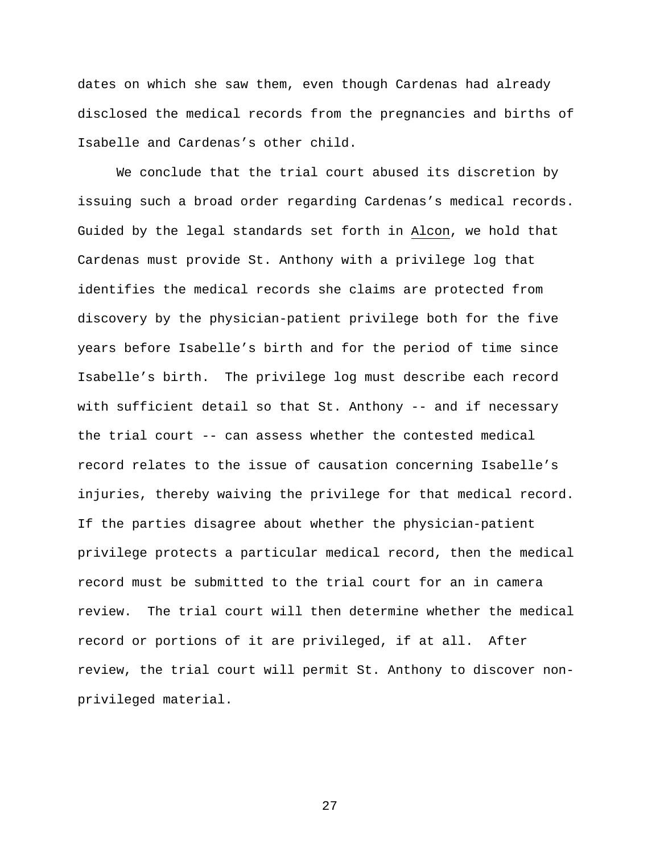dates on which she saw them, even though Cardenas had already disclosed the medical records from the pregnancies and births of Isabelle and Cardenas's other child.

We conclude that the trial court abused its discretion by issuing such a broad order regarding Cardenas's medical records. Guided by the legal standards set forth in Alcon, we hold that Cardenas must provide St. Anthony with a privilege log that identifies the medical records she claims are protected from discovery by the physician-patient privilege both for the five years before Isabelle's birth and for the period of time since Isabelle's birth. The privilege log must describe each record with sufficient detail so that St. Anthony -- and if necessary the trial court -- can assess whether the contested medical record relates to the issue of causation concerning Isabelle's injuries, thereby waiving the privilege for that medical record. If the parties disagree about whether the physician-patient privilege protects a particular medical record, then the medical record must be submitted to the trial court for an in camera review. The trial court will then determine whether the medical record or portions of it are privileged, if at all. After review, the trial court will permit St. Anthony to discover nonprivileged material.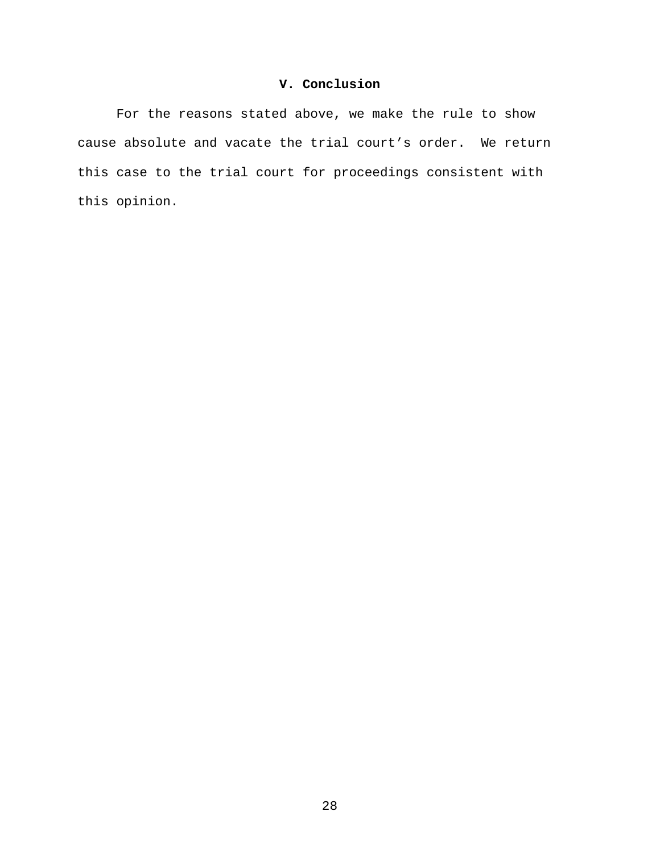## **V. Conclusion**

For the reasons stated above, we make the rule to show cause absolute and vacate the trial court's order. We return this case to the trial court for proceedings consistent with this opinion.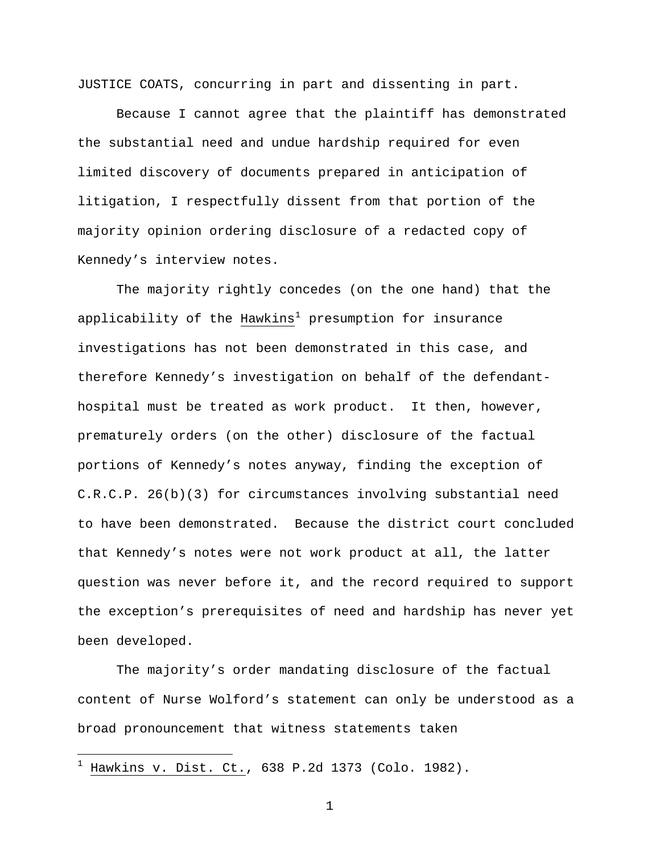JUSTICE COATS, concurring in part and dissenting in part.

 Because I cannot agree that the plaintiff has demonstrated the substantial need and undue hardship required for even limited discovery of documents prepared in anticipation of litigation, I respectfully dissent from that portion of the majority opinion ordering disclosure of a redacted copy of Kennedy's interview notes.

 The majority rightly concedes (on the one hand) that the applicability of the Hawkins<sup>[1](#page-28-0)</sup> presumption for insurance investigations has not been demonstrated in this case, and therefore Kennedy's investigation on behalf of the defendanthospital must be treated as work product. It then, however, prematurely orders (on the other) disclosure of the factual portions of Kennedy's notes anyway, finding the exception of C.R.C.P. 26(b)(3) for circumstances involving substantial need to have been demonstrated. Because the district court concluded that Kennedy's notes were not work product at all, the latter question was never before it, and the record required to support the exception's prerequisites of need and hardship has never yet been developed.

 The majority's order mandating disclosure of the factual content of Nurse Wolford's statement can only be understood as a broad pronouncement that witness statements taken

 $\overline{\phantom{0}}$ 

<span id="page-28-0"></span>Hawkins v. Dist. Ct., 638 P.2d 1373 (Colo. 1982).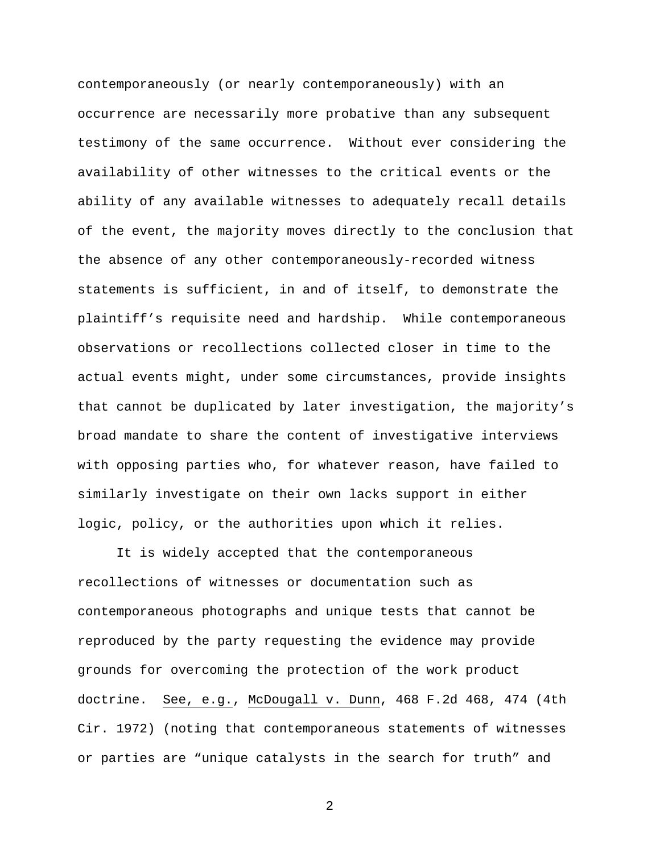contemporaneously (or nearly contemporaneously) with an occurrence are necessarily more probative than any subsequent testimony of the same occurrence. Without ever considering the availability of other witnesses to the critical events or the ability of any available witnesses to adequately recall details of the event, the majority moves directly to the conclusion that the absence of any other contemporaneously-recorded witness statements is sufficient, in and of itself, to demonstrate the plaintiff's requisite need and hardship. While contemporaneous observations or recollections collected closer in time to the actual events might, under some circumstances, provide insights that cannot be duplicated by later investigation, the majority's broad mandate to share the content of investigative interviews with opposing parties who, for whatever reason, have failed to similarly investigate on their own lacks support in either logic, policy, or the authorities upon which it relies.

 It is widely accepted that the contemporaneous recollections of witnesses or documentation such as contemporaneous photographs and unique tests that cannot be reproduced by the party requesting the evidence may provide grounds for overcoming the protection of the work product doctrine. See, e.g., McDougall v. Dunn, 468 F.2d 468, 474 (4th Cir. 1972) (noting that contemporaneous statements of witnesses or parties are "unique catalysts in the search for truth" and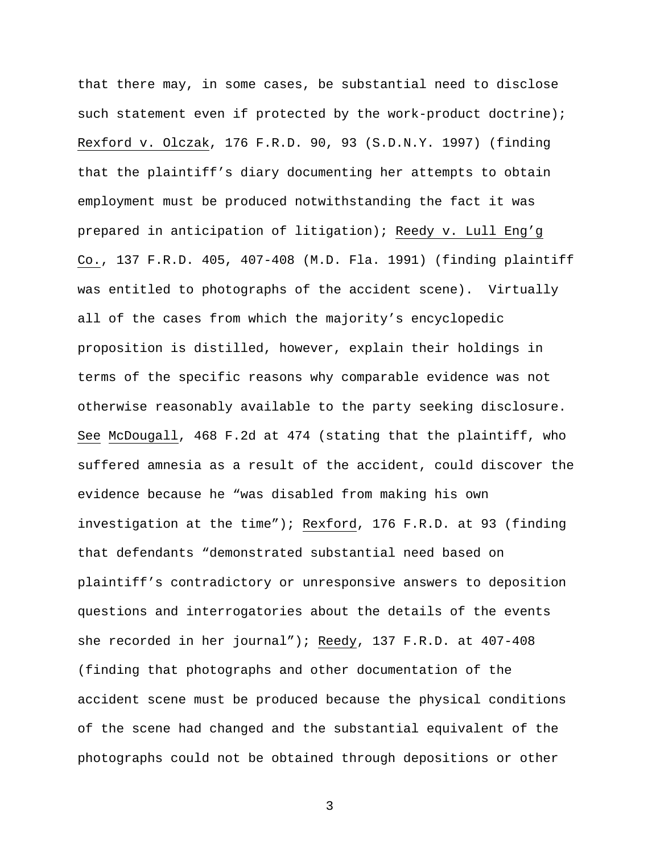that there may, in some cases, be substantial need to disclose such statement even if protected by the work-product doctrine); Rexford v. Olczak, 176 F.R.D. 90, 93 (S.D.N.Y. 1997) (finding that the plaintiff's diary documenting her attempts to obtain employment must be produced notwithstanding the fact it was prepared in anticipation of litigation); Reedy v. Lull Eng'g Co., 137 F.R.D. 405, 407-408 (M.D. Fla. 1991) (finding plaintiff was entitled to photographs of the accident scene). Virtually all of the cases from which the majority's encyclopedic proposition is distilled, however, explain their holdings in terms of the specific reasons why comparable evidence was not otherwise reasonably available to the party seeking disclosure. See McDougall, 468 F.2d at 474 (stating that the plaintiff, who suffered amnesia as a result of the accident, could discover the evidence because he "was disabled from making his own investigation at the time"); Rexford, 176 F.R.D. at 93 (finding that defendants "demonstrated substantial need based on plaintiff's contradictory or unresponsive answers to deposition questions and interrogatories about the details of the events she recorded in her journal"); Reedy, 137 F.R.D. at 407-408 (finding that photographs and other documentation of the accident scene must be produced because the physical conditions of the scene had changed and the substantial equivalent of the photographs could not be obtained through depositions or other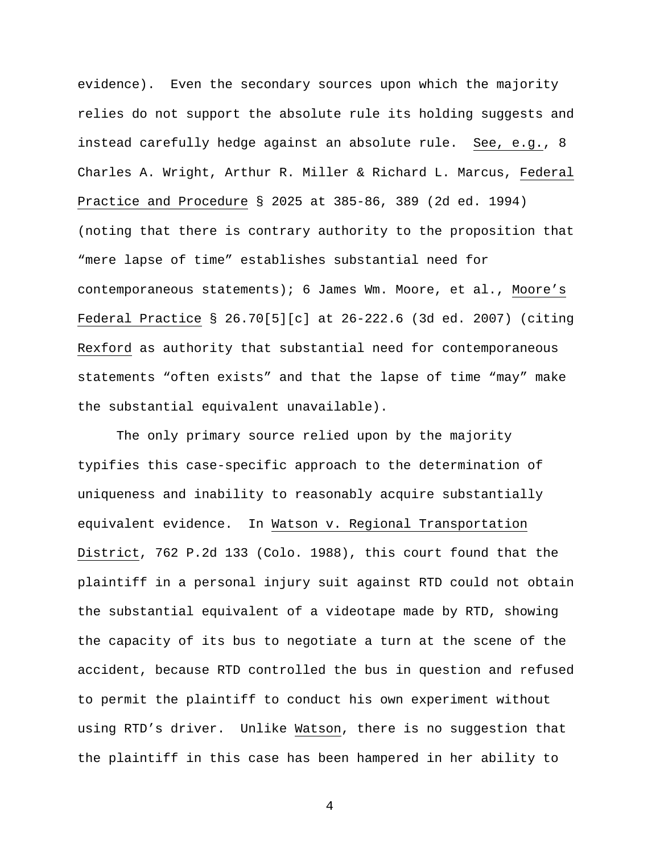evidence). Even the secondary sources upon which the majority relies do not support the absolute rule its holding suggests and instead carefully hedge against an absolute rule. See, e.g., 8 Charles A. Wright, Arthur R. Miller & Richard L. Marcus, Federal Practice and Procedure § 2025 at 385-86, 389 (2d ed. 1994) (noting that there is contrary authority to the proposition that "mere lapse of time" establishes substantial need for contemporaneous statements); 6 James Wm. Moore, et al., Moore's Federal Practice § 26.70[5][c] at 26-222.6 (3d ed. 2007) (citing Rexford as authority that substantial need for contemporaneous statements "often exists" and that the lapse of time "may" make the substantial equivalent unavailable).

 The only primary source relied upon by the majority typifies this case-specific approach to the determination of uniqueness and inability to reasonably acquire substantially equivalent evidence. In Watson v. Regional Transportation District, 762 P.2d 133 (Colo. 1988), this court found that the plaintiff in a personal injury suit against RTD could not obtain the substantial equivalent of a videotape made by RTD, showing the capacity of its bus to negotiate a turn at the scene of the accident, because RTD controlled the bus in question and refused to permit the plaintiff to conduct his own experiment without using RTD's driver. Unlike Watson, there is no suggestion that the plaintiff in this case has been hampered in her ability to